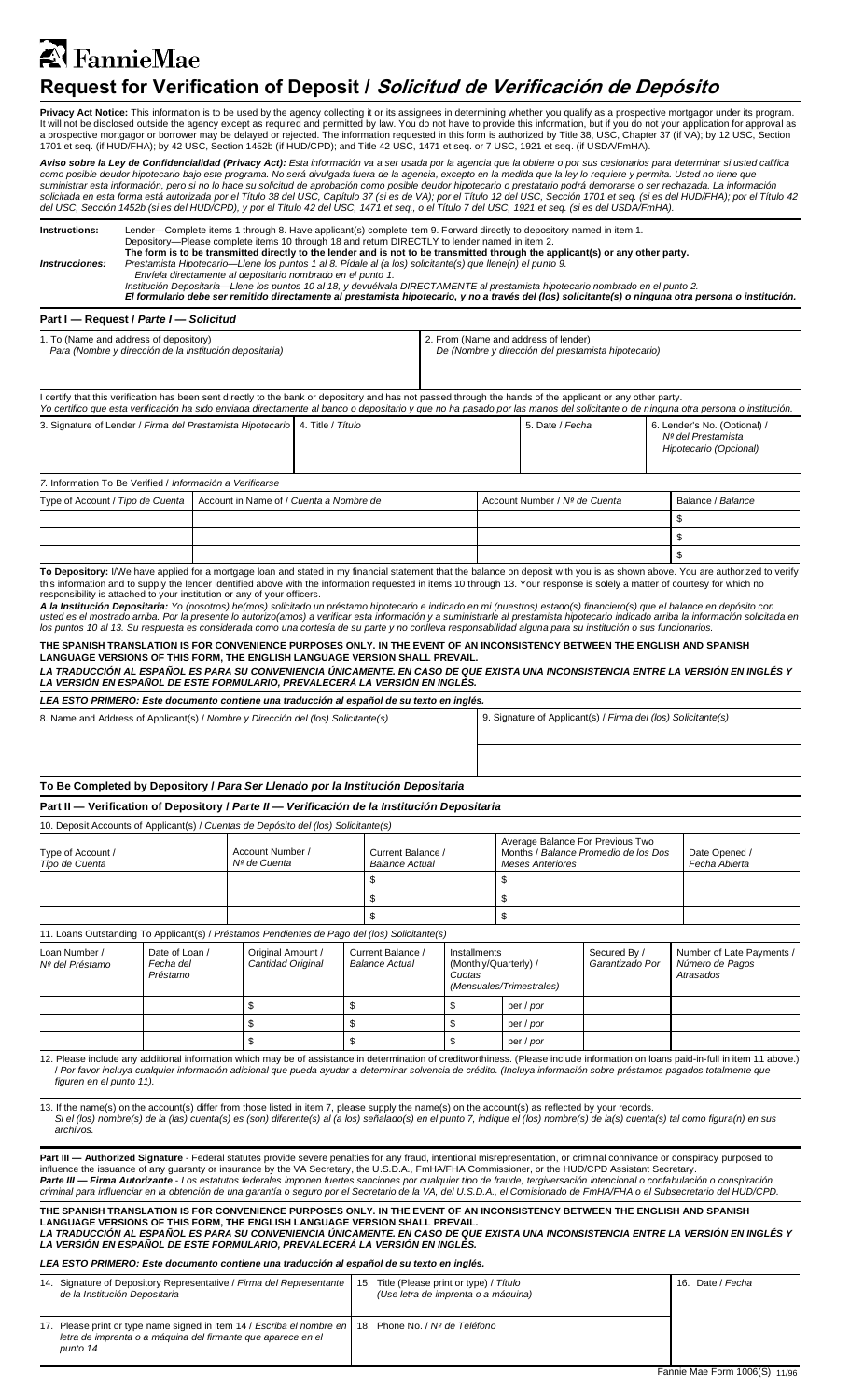# <sup>2</sup> FannieMae  **Request for Verification of Deposit / Solicitud de Verificación de Depósito**

**Privacy Act Notice:** This information is to be used by the agency collecting it or its assignees in determining whether you qualify as a prospective mortgagor under its program.<br>It will not be disclosed outside the agency a prospective mortgagor or borrower may be delayed or rejected. The information requested in this form is authorized by Title 38, USC, Chapter 37 (if VA); by 12 USC, Section<br>1701 et seq. (if HUD/FHA); by 42 USC, Section 14

Aviso sobre la Ley de Confidencialidad (Privacy Act): Esta información va a ser usada por la agencia que la obtiene o por sus cesionarios para determinar si usted califica  nformación, pero si no lo hace su solicitud de aprobación como posible o<br> forma está autorizada por el Título 38 del USC, Capítulo 37 (si es de V*k*<br>› 1452b (si es del HUD/CPD), y por el Título 42 del USC, 1471 et seq., o *como posible deudor hipotecario bajo este programa. No será divulgada fuera de la agencia, excepto en la medida que la ley lo requiere y permita. Usted no tiene que*  suministrar esta información, pero si no lo hace su solicitud de aprobación como posible deudor hipotecario o prestatario podrá demorarse o ser rechazada. La información<br>solicitada en esta forma está autorizada por el Títu

| Instructions:                                                                                                                                                                                                                                                                                                                                                                                                                                                                                  | Lender—Complete items 1 through 8. Have applicant(s) complete item 9. Forward directly to depository named in item 1.<br>Depository—Please complete items 10 through 18 and return DIRECTLY to lender named in item 2.<br>The form is to be transmitted directly to the lender and is not to be transmitted through the applicant(s) or any other party. |                                |                                                                                                                                                                                                                                                                                                                                                                                                                                                         |                                            |                                                                                  |                                                                                             |                                                                                                     |                                                               |                          |                                                                              |                                |                                                                                                                                                                                                                                                                                                                                                                                                                                                                                                                                                                                                                                                                                                                                     |
|------------------------------------------------------------------------------------------------------------------------------------------------------------------------------------------------------------------------------------------------------------------------------------------------------------------------------------------------------------------------------------------------------------------------------------------------------------------------------------------------|----------------------------------------------------------------------------------------------------------------------------------------------------------------------------------------------------------------------------------------------------------------------------------------------------------------------------------------------------------|--------------------------------|---------------------------------------------------------------------------------------------------------------------------------------------------------------------------------------------------------------------------------------------------------------------------------------------------------------------------------------------------------------------------------------------------------------------------------------------------------|--------------------------------------------|----------------------------------------------------------------------------------|---------------------------------------------------------------------------------------------|-----------------------------------------------------------------------------------------------------|---------------------------------------------------------------|--------------------------|------------------------------------------------------------------------------|--------------------------------|-------------------------------------------------------------------------------------------------------------------------------------------------------------------------------------------------------------------------------------------------------------------------------------------------------------------------------------------------------------------------------------------------------------------------------------------------------------------------------------------------------------------------------------------------------------------------------------------------------------------------------------------------------------------------------------------------------------------------------------|
| Prestamista Hipotecario—Llene los puntos 1 al 8. Pídale al (a los) solicitante(s) que llene(n) el punto 9.<br><b>Instrucciones:</b><br>Envíela directamente al depositario nombrado en el punto 1.<br>Institución Depositaria-Llene los puntos 10 al 18, y devuélvala DIRECTAMENTE al prestamista hipotecario nombrado en el punto 2.<br>El formulario debe ser remitido directamente al prestamista hipotecario, y no a través del (los) solicitante(s) o ninguna otra persona o institución. |                                                                                                                                                                                                                                                                                                                                                          |                                |                                                                                                                                                                                                                                                                                                                                                                                                                                                         |                                            |                                                                                  |                                                                                             |                                                                                                     |                                                               |                          |                                                                              |                                |                                                                                                                                                                                                                                                                                                                                                                                                                                                                                                                                                                                                                                                                                                                                     |
|                                                                                                                                                                                                                                                                                                                                                                                                                                                                                                |                                                                                                                                                                                                                                                                                                                                                          |                                |                                                                                                                                                                                                                                                                                                                                                                                                                                                         |                                            |                                                                                  |                                                                                             |                                                                                                     |                                                               |                          |                                                                              |                                |                                                                                                                                                                                                                                                                                                                                                                                                                                                                                                                                                                                                                                                                                                                                     |
| Part I - Request / Parte I - Solicitud                                                                                                                                                                                                                                                                                                                                                                                                                                                         |                                                                                                                                                                                                                                                                                                                                                          |                                |                                                                                                                                                                                                                                                                                                                                                                                                                                                         |                                            |                                                                                  |                                                                                             |                                                                                                     |                                                               |                          |                                                                              |                                |                                                                                                                                                                                                                                                                                                                                                                                                                                                                                                                                                                                                                                                                                                                                     |
| 1. To (Name and address of depository)<br>Para (Nombre y dirección de la institución depositaria)                                                                                                                                                                                                                                                                                                                                                                                              |                                                                                                                                                                                                                                                                                                                                                          |                                |                                                                                                                                                                                                                                                                                                                                                                                                                                                         |                                            |                                                                                  | 2. From (Name and address of lender)<br>De (Nombre y dirección del prestamista hipotecario) |                                                                                                     |                                                               |                          |                                                                              |                                |                                                                                                                                                                                                                                                                                                                                                                                                                                                                                                                                                                                                                                                                                                                                     |
| I certify that this verification has been sent directly to the bank or depository and has not passed through the hands of the applicant or any other party.<br>Yo certifico que esta verificación ha sido enviada directamente al banco o depositario y que no ha pasado por las manos del solicitante o de ninguna otra persona o institución.                                                                                                                                                |                                                                                                                                                                                                                                                                                                                                                          |                                |                                                                                                                                                                                                                                                                                                                                                                                                                                                         |                                            |                                                                                  |                                                                                             |                                                                                                     |                                                               |                          |                                                                              |                                |                                                                                                                                                                                                                                                                                                                                                                                                                                                                                                                                                                                                                                                                                                                                     |
| 3. Signature of Lender / Firma del Prestamista Hipotecario   4. Title / Título                                                                                                                                                                                                                                                                                                                                                                                                                 |                                                                                                                                                                                                                                                                                                                                                          |                                |                                                                                                                                                                                                                                                                                                                                                                                                                                                         |                                            |                                                                                  |                                                                                             | 5. Date / Fecha                                                                                     |                                                               |                          | 6. Lender's No. (Optional) /<br>Nº del Prestamista<br>Hipotecario (Opcional) |                                |                                                                                                                                                                                                                                                                                                                                                                                                                                                                                                                                                                                                                                                                                                                                     |
| 7. Information To Be Verified / Información a Verificarse                                                                                                                                                                                                                                                                                                                                                                                                                                      |                                                                                                                                                                                                                                                                                                                                                          |                                |                                                                                                                                                                                                                                                                                                                                                                                                                                                         |                                            |                                                                                  |                                                                                             |                                                                                                     |                                                               |                          |                                                                              |                                |                                                                                                                                                                                                                                                                                                                                                                                                                                                                                                                                                                                                                                                                                                                                     |
| Type of Account / Tipo de Cuenta                                                                                                                                                                                                                                                                                                                                                                                                                                                               |                                                                                                                                                                                                                                                                                                                                                          |                                | Account in Name of / Cuenta a Nombre de                                                                                                                                                                                                                                                                                                                                                                                                                 |                                            |                                                                                  |                                                                                             |                                                                                                     | Account Number / Nº de Cuenta                                 |                          |                                                                              |                                | Balance / Balance                                                                                                                                                                                                                                                                                                                                                                                                                                                                                                                                                                                                                                                                                                                   |
|                                                                                                                                                                                                                                                                                                                                                                                                                                                                                                |                                                                                                                                                                                                                                                                                                                                                          |                                |                                                                                                                                                                                                                                                                                                                                                                                                                                                         |                                            |                                                                                  |                                                                                             |                                                                                                     |                                                               |                          |                                                                              |                                | \$                                                                                                                                                                                                                                                                                                                                                                                                                                                                                                                                                                                                                                                                                                                                  |
|                                                                                                                                                                                                                                                                                                                                                                                                                                                                                                |                                                                                                                                                                                                                                                                                                                                                          |                                |                                                                                                                                                                                                                                                                                                                                                                                                                                                         |                                            |                                                                                  |                                                                                             |                                                                                                     |                                                               |                          |                                                                              |                                | \$                                                                                                                                                                                                                                                                                                                                                                                                                                                                                                                                                                                                                                                                                                                                  |
|                                                                                                                                                                                                                                                                                                                                                                                                                                                                                                |                                                                                                                                                                                                                                                                                                                                                          |                                |                                                                                                                                                                                                                                                                                                                                                                                                                                                         |                                            |                                                                                  |                                                                                             |                                                                                                     |                                                               |                          |                                                                              |                                | \$                                                                                                                                                                                                                                                                                                                                                                                                                                                                                                                                                                                                                                                                                                                                  |
|                                                                                                                                                                                                                                                                                                                                                                                                                                                                                                |                                                                                                                                                                                                                                                                                                                                                          |                                | responsibility is attached to your institution or any of your officers.                                                                                                                                                                                                                                                                                                                                                                                 |                                            |                                                                                  |                                                                                             |                                                                                                     |                                                               |                          |                                                                              |                                | To Depository: I/We have applied for a mortgage loan and stated in my financial statement that the balance on deposit with you is as shown above. You are authorized to verify<br>this information and to supply the lender identified above with the information requested in items 10 through 13. Your response is solely a matter of courtesy for which no<br>A la Institución Depositaria: Yo (nosotros) he(mos) solicitado un préstamo hipotecario e indicado en mi (nuestros) estado(s) financiero(s) que el balance en depósito con<br>usted es el mostrado arriba. Por la presente lo autorizo(amos) a verificar esta información y a suministrarle al prestamista hipotecario indicado arriba la información solicitada en |
|                                                                                                                                                                                                                                                                                                                                                                                                                                                                                                |                                                                                                                                                                                                                                                                                                                                                          |                                | los puntos 10 al 13. Su respuesta es considerada como una cortesía de su parte y no conlleva responsabilidad alguna para su institución o sus funcionarios.<br>THE SPANISH TRANSLATION IS FOR CONVENIENCE PURPOSES ONLY. IN THE EVENT OF AN INCONSISTENCY BETWEEN THE ENGLISH AND SPANISH<br>LANGUAGE VERSIONS OF THIS FORM, THE ENGLISH LANGUAGE VERSION SHALL PREVAIL.<br>LA VERSIÓN EN ESPAÑOL DE ESTE FORMULARIO, PREVALECERÁ LA VERSIÓN EN INGLÉS. |                                            |                                                                                  |                                                                                             |                                                                                                     |                                                               |                          |                                                                              |                                | LA TRADUCCIÓN AL ESPAÑOL ES PARA SU CONVENIENCIA ÚNICAMENTE. EN CASO DE QUE EXISTA UNA INCONSISTENCIA ENTRE LA VERSIÓN EN INGLÉS Y                                                                                                                                                                                                                                                                                                                                                                                                                                                                                                                                                                                                  |
|                                                                                                                                                                                                                                                                                                                                                                                                                                                                                                |                                                                                                                                                                                                                                                                                                                                                          |                                | LEA ESTO PRIMERO: Este documento contiene una traducción al español de su texto en inglés.                                                                                                                                                                                                                                                                                                                                                              |                                            |                                                                                  |                                                                                             |                                                                                                     |                                                               |                          |                                                                              |                                |                                                                                                                                                                                                                                                                                                                                                                                                                                                                                                                                                                                                                                                                                                                                     |
| 8. Name and Address of Applicant(s) / Nombre y Dirección del (los) Solicitante(s)                                                                                                                                                                                                                                                                                                                                                                                                              |                                                                                                                                                                                                                                                                                                                                                          |                                |                                                                                                                                                                                                                                                                                                                                                                                                                                                         |                                            |                                                                                  |                                                                                             |                                                                                                     | 9. Signature of Applicant(s) / Firma del (los) Solicitante(s) |                          |                                                                              |                                |                                                                                                                                                                                                                                                                                                                                                                                                                                                                                                                                                                                                                                                                                                                                     |
|                                                                                                                                                                                                                                                                                                                                                                                                                                                                                                |                                                                                                                                                                                                                                                                                                                                                          |                                |                                                                                                                                                                                                                                                                                                                                                                                                                                                         |                                            |                                                                                  |                                                                                             |                                                                                                     |                                                               |                          |                                                                              |                                |                                                                                                                                                                                                                                                                                                                                                                                                                                                                                                                                                                                                                                                                                                                                     |
|                                                                                                                                                                                                                                                                                                                                                                                                                                                                                                |                                                                                                                                                                                                                                                                                                                                                          |                                | To Be Completed by Depository / Para Ser Llenado por la Institución Depositaria                                                                                                                                                                                                                                                                                                                                                                         |                                            |                                                                                  |                                                                                             |                                                                                                     |                                                               |                          |                                                                              |                                |                                                                                                                                                                                                                                                                                                                                                                                                                                                                                                                                                                                                                                                                                                                                     |
|                                                                                                                                                                                                                                                                                                                                                                                                                                                                                                |                                                                                                                                                                                                                                                                                                                                                          |                                | Part II - Verification of Depository / Parte II - Verificación de la Institución Depositaria                                                                                                                                                                                                                                                                                                                                                            |                                            |                                                                                  |                                                                                             |                                                                                                     |                                                               |                          |                                                                              |                                |                                                                                                                                                                                                                                                                                                                                                                                                                                                                                                                                                                                                                                                                                                                                     |
|                                                                                                                                                                                                                                                                                                                                                                                                                                                                                                |                                                                                                                                                                                                                                                                                                                                                          |                                | 10. Deposit Accounts of Applicant(s) / Cuentas de Depósito del (los) Solicitante(s)                                                                                                                                                                                                                                                                                                                                                                     |                                            |                                                                                  |                                                                                             |                                                                                                     |                                                               |                          |                                                                              |                                |                                                                                                                                                                                                                                                                                                                                                                                                                                                                                                                                                                                                                                                                                                                                     |
| Type of Account /<br>Tipo de Cuenta                                                                                                                                                                                                                                                                                                                                                                                                                                                            |                                                                                                                                                                                                                                                                                                                                                          |                                | Account Number /<br>Nº de Cuenta                                                                                                                                                                                                                                                                                                                                                                                                                        | Current Balance /<br><b>Balance Actual</b> |                                                                                  |                                                                                             | Average Balance For Previous Two<br>Months / Balance Promedio de los Dos<br><b>Meses Anteriores</b> |                                                               |                          |                                                                              | Date Opened /<br>Fecha Abierta |                                                                                                                                                                                                                                                                                                                                                                                                                                                                                                                                                                                                                                                                                                                                     |
|                                                                                                                                                                                                                                                                                                                                                                                                                                                                                                |                                                                                                                                                                                                                                                                                                                                                          |                                |                                                                                                                                                                                                                                                                                                                                                                                                                                                         |                                            | \$                                                                               |                                                                                             |                                                                                                     | \$                                                            |                          |                                                                              |                                |                                                                                                                                                                                                                                                                                                                                                                                                                                                                                                                                                                                                                                                                                                                                     |
|                                                                                                                                                                                                                                                                                                                                                                                                                                                                                                |                                                                                                                                                                                                                                                                                                                                                          |                                |                                                                                                                                                                                                                                                                                                                                                                                                                                                         |                                            | \$<br>\$                                                                         |                                                                                             |                                                                                                     | \$<br>\$                                                      |                          |                                                                              |                                |                                                                                                                                                                                                                                                                                                                                                                                                                                                                                                                                                                                                                                                                                                                                     |
|                                                                                                                                                                                                                                                                                                                                                                                                                                                                                                |                                                                                                                                                                                                                                                                                                                                                          |                                | 11. Loans Outstanding To Applicant(s) / Préstamos Pendientes de Pago del (los) Solicitante(s)                                                                                                                                                                                                                                                                                                                                                           |                                            |                                                                                  |                                                                                             |                                                                                                     |                                                               |                          |                                                                              |                                |                                                                                                                                                                                                                                                                                                                                                                                                                                                                                                                                                                                                                                                                                                                                     |
| Loan Number /<br>Nº del Préstamo                                                                                                                                                                                                                                                                                                                                                                                                                                                               | Date of Loan /<br>Fecha del                                                                                                                                                                                                                                                                                                                              |                                | Original Amount /<br>Cantidad Original                                                                                                                                                                                                                                                                                                                                                                                                                  |                                            | Current Balance /<br><b>Balance Actual</b>                                       |                                                                                             | Installments                                                                                        | (Monthly/Quarterly) /                                         |                          | Secured By /<br>Garantizado Por                                              |                                | Number of Late Payments /<br>Número de Pagos                                                                                                                                                                                                                                                                                                                                                                                                                                                                                                                                                                                                                                                                                        |
|                                                                                                                                                                                                                                                                                                                                                                                                                                                                                                | Préstamo                                                                                                                                                                                                                                                                                                                                                 |                                |                                                                                                                                                                                                                                                                                                                                                                                                                                                         |                                            |                                                                                  |                                                                                             | Cuotas                                                                                              |                                                               | (Mensuales/Trimestrales) |                                                                              |                                | Atrasados                                                                                                                                                                                                                                                                                                                                                                                                                                                                                                                                                                                                                                                                                                                           |
|                                                                                                                                                                                                                                                                                                                                                                                                                                                                                                |                                                                                                                                                                                                                                                                                                                                                          |                                | \$<br>\$                                                                                                                                                                                                                                                                                                                                                                                                                                                |                                            |                                                                                  | \$                                                                                          |                                                                                                     | per / por                                                     |                          |                                                                              |                                |                                                                                                                                                                                                                                                                                                                                                                                                                                                                                                                                                                                                                                                                                                                                     |
|                                                                                                                                                                                                                                                                                                                                                                                                                                                                                                |                                                                                                                                                                                                                                                                                                                                                          |                                | \$                                                                                                                                                                                                                                                                                                                                                                                                                                                      | \$                                         |                                                                                  | \$                                                                                          |                                                                                                     | per / por                                                     |                          |                                                                              |                                |                                                                                                                                                                                                                                                                                                                                                                                                                                                                                                                                                                                                                                                                                                                                     |
| figuren en el punto 11).                                                                                                                                                                                                                                                                                                                                                                                                                                                                       |                                                                                                                                                                                                                                                                                                                                                          |                                | \$                                                                                                                                                                                                                                                                                                                                                                                                                                                      | \$                                         |                                                                                  | \$                                                                                          |                                                                                                     | per / por                                                     |                          |                                                                              |                                | 12. Please include any additional information which may be of assistance in determination of creditworthiness. (Please include information on loans paid-in-full in item 11 above.)<br>/ Por favor incluya cualquier información adicional que pueda ayudar a determinar solvencia de crédito. (Incluya información sobre préstamos pagados totalmente que                                                                                                                                                                                                                                                                                                                                                                          |
| archivos.                                                                                                                                                                                                                                                                                                                                                                                                                                                                                      |                                                                                                                                                                                                                                                                                                                                                          |                                | 13. If the name(s) on the account(s) differ from those listed in item 7, please supply the name(s) on the account(s) as reflected by your records.                                                                                                                                                                                                                                                                                                      |                                            |                                                                                  |                                                                                             |                                                                                                     |                                                               |                          |                                                                              |                                | Si el (los) nombre(s) de la (las) cuenta(s) es (son) diferente(s) al (a los) señalado(s) en el punto 7, indique el (los) nombre(s) de la(s) cuenta(s) tal como figura(n) en sus                                                                                                                                                                                                                                                                                                                                                                                                                                                                                                                                                     |
|                                                                                                                                                                                                                                                                                                                                                                                                                                                                                                |                                                                                                                                                                                                                                                                                                                                                          |                                | influence the issuance of any guaranty or insurance by the VA Secretary, the U.S.D.A., FmHA/FHA Commissioner, or the HUD/CPD Assistant Secretary.                                                                                                                                                                                                                                                                                                       |                                            |                                                                                  |                                                                                             |                                                                                                     |                                                               |                          |                                                                              |                                | Part III - Authorized Signature - Federal statutes provide severe penalties for any fraud, intentional misrepresentation, or criminal connivance or conspiracy purposed to<br>Parte III — Firma Autorizante - Los estatutos federales imponen fuertes sanciones por cualquier tipo de fraude, tergiversación intencional o confabulación o conspiración<br>criminal para influenciar en la obtención de una garantía o seguro por el Secretario de la VA, del U.S.D.A., el Comisionado de FmHA/FHA o el Subsecretario del HUD/CPD.                                                                                                                                                                                                  |
|                                                                                                                                                                                                                                                                                                                                                                                                                                                                                                |                                                                                                                                                                                                                                                                                                                                                          |                                | THE SPANISH TRANSLATION IS FOR CONVENIENCE PURPOSES ONLY. IN THE EVENT OF AN INCONSISTENCY BETWEEN THE ENGLISH AND SPANISH<br>LANGUAGE VERSIONS OF THIS FORM, THE ENGLISH LANGUAGE VERSION SHALL PREVAIL.<br>LA VERSIÓN EN ESPAÑOL DE ESTE FORMULARIO, PREVALECERÁ LA VERSIÓN EN INGLÉS.                                                                                                                                                                |                                            |                                                                                  |                                                                                             |                                                                                                     |                                                               |                          |                                                                              |                                | LA TRADUCCIÓN AL ESPAÑOL ES PARA SU CONVENIENCIA UNICAMENTE. EN CASO DE QUE EXISTA UNA INCONSISTENCIA ENTRE LA VERSIÓN EN INGLÉS Y                                                                                                                                                                                                                                                                                                                                                                                                                                                                                                                                                                                                  |
|                                                                                                                                                                                                                                                                                                                                                                                                                                                                                                |                                                                                                                                                                                                                                                                                                                                                          |                                | LEA ESTO PRIMERO: Este documento contiene una traducción al español de su texto en inglés.                                                                                                                                                                                                                                                                                                                                                              |                                            |                                                                                  |                                                                                             |                                                                                                     |                                                               |                          |                                                                              |                                |                                                                                                                                                                                                                                                                                                                                                                                                                                                                                                                                                                                                                                                                                                                                     |
| 14. Signature of Depository Representative / Firma del Representante<br>de la Institución Depositaria                                                                                                                                                                                                                                                                                                                                                                                          |                                                                                                                                                                                                                                                                                                                                                          |                                |                                                                                                                                                                                                                                                                                                                                                                                                                                                         |                                            | 15. Title (Please print or type) / Título<br>(Use letra de imprenta o a máquina) |                                                                                             |                                                                                                     |                                                               |                          |                                                                              | 16. Date / Fecha               |                                                                                                                                                                                                                                                                                                                                                                                                                                                                                                                                                                                                                                                                                                                                     |
| 17. Please print or type name signed in item 14 / Escriba el nombre en<br>letra de imprenta o a máquina del firmante que aparece en el<br>punto 14                                                                                                                                                                                                                                                                                                                                             |                                                                                                                                                                                                                                                                                                                                                          | 18. Phone No. / Nº de Teléfono |                                                                                                                                                                                                                                                                                                                                                                                                                                                         |                                            |                                                                                  |                                                                                             |                                                                                                     |                                                               |                          |                                                                              |                                |                                                                                                                                                                                                                                                                                                                                                                                                                                                                                                                                                                                                                                                                                                                                     |